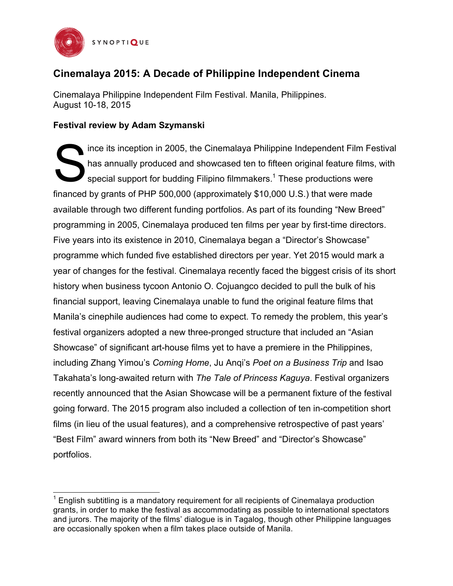

# **Cinemalaya 2015: A Decade of Philippine Independent Cinema**

Cinemalaya Philippine Independent Film Festival. Manila, Philippines. August 10-18, 2015

## **Festival review by Adam Szymanski**

ince its inception in 2005, the Cinemalaya Philippine Independent Film Festival has annually produced and showcased ten to fifteen original feature films, with special support for budding Filipino filmmakers.<sup>1</sup> These productions were financed by grants of PHP 500,000 (approximately \$10,000 U.S.) that were made available through two different funding portfolios. As part of its founding "New Breed" programming in 2005, Cinemalaya produced ten films per year by first-time directors. Five years into its existence in 2010, Cinemalaya began a "Director's Showcase" programme which funded five established directors per year. Yet 2015 would mark a year of changes for the festival. Cinemalaya recently faced the biggest crisis of its short history when business tycoon Antonio O. Cojuangco decided to pull the bulk of his financial support, leaving Cinemalaya unable to fund the original feature films that Manila's cinephile audiences had come to expect. To remedy the problem, this year's festival organizers adopted a new three-pronged structure that included an "Asian Showcase" of significant art-house films yet to have a premiere in the Philippines, including Zhang Yimou's *Coming Home*, Ju Anqi's *Poet on a Business Trip* and Isao Takahata's long-awaited return with *The Tale of Princess Kaguya*. Festival organizers recently announced that the Asian Showcase will be a permanent fixture of the festival going forward. The 2015 program also included a collection of ten in-competition short films (in lieu of the usual features), and a comprehensive retrospective of past years' "Best Film" award winners from both its "New Breed" and "Director's Showcase" portfolios. S

 $1$  English subtitling is a mandatory requirement for all recipients of Cinemalaya production grants, in order to make the festival as accommodating as possible to international spectators and jurors. The majority of the films' dialogue is in Tagalog, though other Philippine languages are occasionally spoken when a film takes place outside of Manila.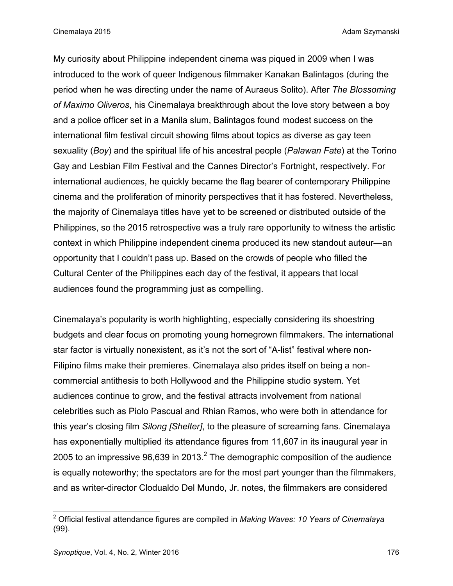Cinemalaya 2015 **Adam Szymanski** Adam Szymanski Adam Szymanski Adam Szymanski Adam Szymanski Adam Szymanski Adam Szymanski Adam Szymanski Adam Szymanski Adam Szymanski Adam Szymanski Adam Szymanski Adam Szymanski Adam Szym

My curiosity about Philippine independent cinema was piqued in 2009 when I was introduced to the work of queer Indigenous filmmaker Kanakan Balintagos (during the period when he was directing under the name of Auraeus Solito). After *The Blossoming of Maximo Oliveros*, his Cinemalaya breakthrough about the love story between a boy and a police officer set in a Manila slum, Balintagos found modest success on the international film festival circuit showing films about topics as diverse as gay teen sexuality (*Boy*) and the spiritual life of his ancestral people (*Palawan Fate*) at the Torino Gay and Lesbian Film Festival and the Cannes Director's Fortnight, respectively. For international audiences, he quickly became the flag bearer of contemporary Philippine cinema and the proliferation of minority perspectives that it has fostered. Nevertheless, the majority of Cinemalaya titles have yet to be screened or distributed outside of the Philippines, so the 2015 retrospective was a truly rare opportunity to witness the artistic context in which Philippine independent cinema produced its new standout auteur—an opportunity that I couldn't pass up. Based on the crowds of people who filled the Cultural Center of the Philippines each day of the festival, it appears that local audiences found the programming just as compelling.

Cinemalaya's popularity is worth highlighting, especially considering its shoestring budgets and clear focus on promoting young homegrown filmmakers. The international star factor is virtually nonexistent, as it's not the sort of "A-list" festival where non-Filipino films make their premieres. Cinemalaya also prides itself on being a noncommercial antithesis to both Hollywood and the Philippine studio system. Yet audiences continue to grow, and the festival attracts involvement from national celebrities such as Piolo Pascual and Rhian Ramos, who were both in attendance for this year's closing film *Silong [Shelter]*, to the pleasure of screaming fans. Cinemalaya has exponentially multiplied its attendance figures from 11,607 in its inaugural year in 2005 to an impressive  $96,639$  in 2013.<sup>2</sup> The demographic composition of the audience is equally noteworthy; the spectators are for the most part younger than the filmmakers, and as writer-director Clodualdo Del Mundo, Jr. notes, the filmmakers are considered

<sup>2</sup> Official festival attendance figures are compiled in *Making Waves: 10 Years of Cinemalaya* (99).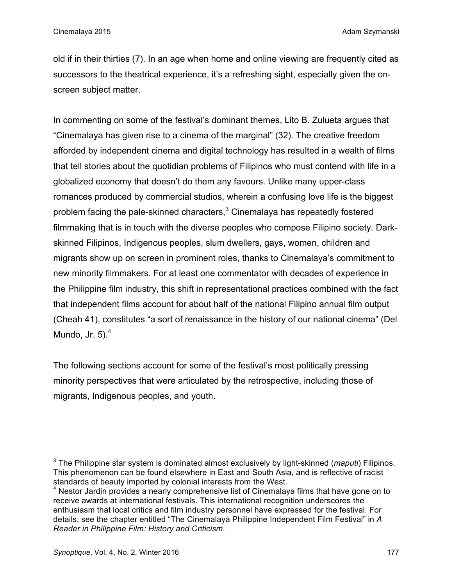old if in their thirties (7). In an age when home and online viewing are frequently cited as successors to the theatrical experience, it's a refreshing sight, especially given the onscreen subject matter.

In commenting on some of the festival's dominant themes, Lito B. Zulueta argues that "Cinemalaya has given rise to a cinema of the marginal" (32). The creative freedom afforded by independent cinema and digital technology has resulted in a wealth of films that tell stories about the quotidian problems of Filipinos who must contend with life in a globalized economy that doesn't do them any favours. Unlike many upper-class romances produced by commercial studios, wherein a confusing love life is the biggest problem facing the pale-skinned characters,<sup>3</sup> Cinemalaya has repeatedly fostered filmmaking that is in touch with the diverse peoples who compose Filipino society. Darkskinned Filipinos, Indigenous peoples, slum dwellers, gays, women, children and migrants show up on screen in prominent roles, thanks to Cinemalaya's commitment to new minority filmmakers. For at least one commentator with decades of experience in the Philippine film industry, this shift in representational practices combined with the fact that independent films account for about half of the national Filipino annual film output (Cheah 41), constitutes "a sort of renaissance in the history of our national cinema" (Del Mundo, Jr.  $5)$ . $^{4}$ 

The following sections account for some of the festival's most politically pressing minority perspectives that were articulated by the retrospective, including those of migrants, Indigenous peoples, and youth.

<sup>3</sup> The Philippine star system is dominated almost exclusively by light-skinned (*maputi*) Filipinos. This phenomenon can be found elsewhere in East and South Asia, and is reflective of racist standards of beauty imported by colonial interests from the West.

 $4$  Nestor Jardin provides a nearly comprehensive list of Cinemalaya films that have gone on to receive awards at international festivals. This international recognition underscores the enthusiasm that local critics and film industry personnel have expressed for the festival. For details, see the chapter entitled "The Cinemalaya Philippine Independent Film Festival" in *A Reader in Philippine Film: History and Criticism*.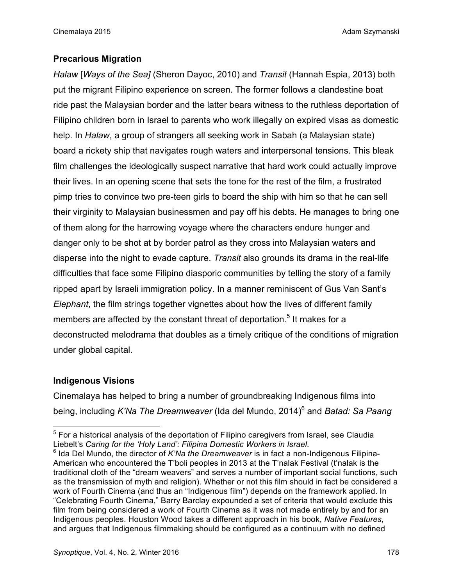### **Precarious Migration**

*Halaw* [*Ways of the Sea]* (Sheron Dayoc, 2010) and *Transit* (Hannah Espia, 2013) both put the migrant Filipino experience on screen. The former follows a clandestine boat ride past the Malaysian border and the latter bears witness to the ruthless deportation of Filipino children born in Israel to parents who work illegally on expired visas as domestic help. In *Halaw*, a group of strangers all seeking work in Sabah (a Malaysian state) board a rickety ship that navigates rough waters and interpersonal tensions. This bleak film challenges the ideologically suspect narrative that hard work could actually improve their lives. In an opening scene that sets the tone for the rest of the film, a frustrated pimp tries to convince two pre-teen girls to board the ship with him so that he can sell their virginity to Malaysian businessmen and pay off his debts. He manages to bring one of them along for the harrowing voyage where the characters endure hunger and danger only to be shot at by border patrol as they cross into Malaysian waters and disperse into the night to evade capture. *Transit* also grounds its drama in the real-life difficulties that face some Filipino diasporic communities by telling the story of a family ripped apart by Israeli immigration policy. In a manner reminiscent of Gus Van Sant's *Elephant*, the film strings together vignettes about how the lives of different family members are affected by the constant threat of deportation.<sup>5</sup> It makes for a deconstructed melodrama that doubles as a timely critique of the conditions of migration under global capital.

#### **Indigenous Visions**

Cinemalaya has helped to bring a number of groundbreaking Indigenous films into being, including *K'Na The Dreamweaver* (Ida del Mundo, 2014)6 and *Batad: Sa Paang* 

 $5$  For a historical analysis of the deportation of Filipino caregivers from Israel, see Claudia Liebelt's *Caring for the 'Holy Land': Filipina Domestic Workers in Israel*.<br><sup>6</sup> Ida Del Mundo, the director of *K'Na the Dreamweaver* is in fact a non-Indigenous Filipina-

American who encountered the T'boli peoples in 2013 at the T'nalak Festival (t'nalak is the traditional cloth of the "dream weavers" and serves a number of important social functions, such as the transmission of myth and religion). Whether or not this film should in fact be considered a work of Fourth Cinema (and thus an "Indigenous film") depends on the framework applied. In "Celebrating Fourth Cinema," Barry Barclay expounded a set of criteria that would exclude this film from being considered a work of Fourth Cinema as it was not made entirely by and for an Indigenous peoples. Houston Wood takes a different approach in his book, *Native Features*, and argues that Indigenous filmmaking should be configured as a continuum with no defined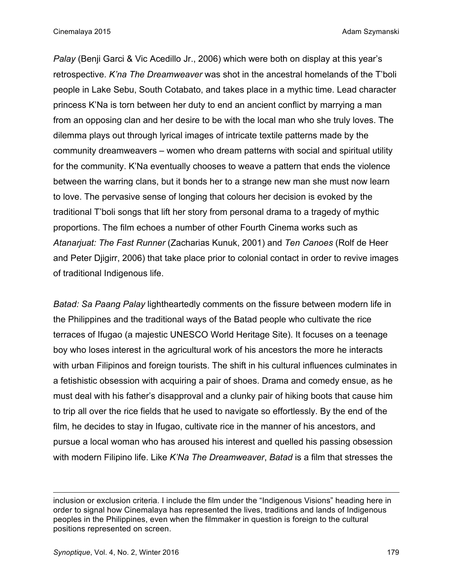*Palay* (Benji Garci & Vic Acedillo Jr., 2006) which were both on display at this year's retrospective. *K'na The Dreamweaver* was shot in the ancestral homelands of the T'boli people in Lake Sebu, South Cotabato, and takes place in a mythic time. Lead character princess K'Na is torn between her duty to end an ancient conflict by marrying a man from an opposing clan and her desire to be with the local man who she truly loves. The dilemma plays out through lyrical images of intricate textile patterns made by the community dreamweavers – women who dream patterns with social and spiritual utility for the community. K'Na eventually chooses to weave a pattern that ends the violence between the warring clans, but it bonds her to a strange new man she must now learn to love. The pervasive sense of longing that colours her decision is evoked by the traditional T'boli songs that lift her story from personal drama to a tragedy of mythic proportions. The film echoes a number of other Fourth Cinema works such as *Atanarjuat: The Fast Runner* (Zacharias Kunuk, 2001) and *Ten Canoes* (Rolf de Heer and Peter Djigirr, 2006) that take place prior to colonial contact in order to revive images of traditional Indigenous life.

*Batad: Sa Paang Palay* lightheartedly comments on the fissure between modern life in the Philippines and the traditional ways of the Batad people who cultivate the rice terraces of Ifugao (a majestic UNESCO World Heritage Site). It focuses on a teenage boy who loses interest in the agricultural work of his ancestors the more he interacts with urban Filipinos and foreign tourists. The shift in his cultural influences culminates in a fetishistic obsession with acquiring a pair of shoes. Drama and comedy ensue, as he must deal with his father's disapproval and a clunky pair of hiking boots that cause him to trip all over the rice fields that he used to navigate so effortlessly. By the end of the film, he decides to stay in Ifugao, cultivate rice in the manner of his ancestors, and pursue a local woman who has aroused his interest and quelled his passing obsession with modern Filipino life. Like *K'Na The Dreamweaver*, *Batad* is a film that stresses the

 $\overline{\phantom{a}}$ 

inclusion or exclusion criteria. I include the film under the "Indigenous Visions" heading here in order to signal how Cinemalaya has represented the lives, traditions and lands of Indigenous peoples in the Philippines, even when the filmmaker in question is foreign to the cultural positions represented on screen.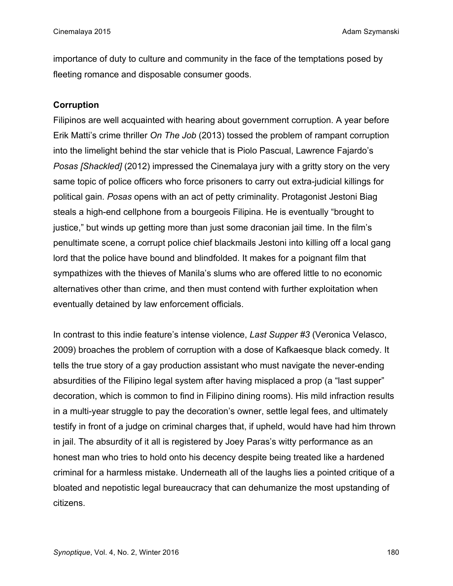importance of duty to culture and community in the face of the temptations posed by fleeting romance and disposable consumer goods.

## **Corruption**

Filipinos are well acquainted with hearing about government corruption. A year before Erik Matti's crime thriller *On The Job* (2013) tossed the problem of rampant corruption into the limelight behind the star vehicle that is Piolo Pascual, Lawrence Fajardo's *Posas [Shackled]* (2012) impressed the Cinemalaya jury with a gritty story on the very same topic of police officers who force prisoners to carry out extra-judicial killings for political gain. *Posas* opens with an act of petty criminality. Protagonist Jestoni Biag steals a high-end cellphone from a bourgeois Filipina. He is eventually "brought to justice," but winds up getting more than just some draconian jail time. In the film's penultimate scene, a corrupt police chief blackmails Jestoni into killing off a local gang lord that the police have bound and blindfolded. It makes for a poignant film that sympathizes with the thieves of Manila's slums who are offered little to no economic alternatives other than crime, and then must contend with further exploitation when eventually detained by law enforcement officials.

In contrast to this indie feature's intense violence, *Last Supper #3* (Veronica Velasco, 2009) broaches the problem of corruption with a dose of Kafkaesque black comedy. It tells the true story of a gay production assistant who must navigate the never-ending absurdities of the Filipino legal system after having misplaced a prop (a "last supper" decoration, which is common to find in Filipino dining rooms). His mild infraction results in a multi-year struggle to pay the decoration's owner, settle legal fees, and ultimately testify in front of a judge on criminal charges that, if upheld, would have had him thrown in jail. The absurdity of it all is registered by Joey Paras's witty performance as an honest man who tries to hold onto his decency despite being treated like a hardened criminal for a harmless mistake. Underneath all of the laughs lies a pointed critique of a bloated and nepotistic legal bureaucracy that can dehumanize the most upstanding of citizens.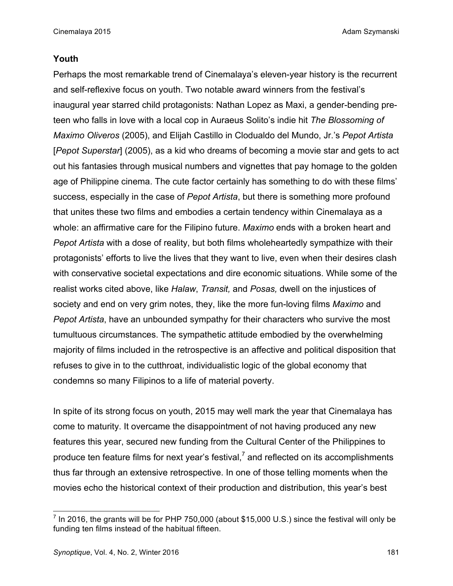#### **Youth**

Perhaps the most remarkable trend of Cinemalaya's eleven-year history is the recurrent and self-reflexive focus on youth. Two notable award winners from the festival's inaugural year starred child protagonists: Nathan Lopez as Maxi, a gender-bending preteen who falls in love with a local cop in Auraeus Solito's indie hit *The Blossoming of Maximo Oliveros* (2005), and Elijah Castillo in Clodualdo del Mundo, Jr.'s *Pepot Artista*  [*Pepot Superstar*] (2005), as a kid who dreams of becoming a movie star and gets to act out his fantasies through musical numbers and vignettes that pay homage to the golden age of Philippine cinema. The cute factor certainly has something to do with these films' success, especially in the case of *Pepot Artista*, but there is something more profound that unites these two films and embodies a certain tendency within Cinemalaya as a whole: an affirmative care for the Filipino future. *Maximo* ends with a broken heart and *Pepot Artista* with a dose of reality, but both films wholeheartedly sympathize with their protagonists' efforts to live the lives that they want to live, even when their desires clash with conservative societal expectations and dire economic situations. While some of the realist works cited above, like *Halaw*, *Transit,* and *Posas,* dwell on the injustices of society and end on very grim notes, they, like the more fun-loving films *Maximo* and *Pepot Artista*, have an unbounded sympathy for their characters who survive the most tumultuous circumstances. The sympathetic attitude embodied by the overwhelming majority of films included in the retrospective is an affective and political disposition that refuses to give in to the cutthroat, individualistic logic of the global economy that condemns so many Filipinos to a life of material poverty.

In spite of its strong focus on youth, 2015 may well mark the year that Cinemalaya has come to maturity. It overcame the disappointment of not having produced any new features this year, secured new funding from the Cultural Center of the Philippines to produce ten feature films for next year's festival,<sup>7</sup> and reflected on its accomplishments thus far through an extensive retrospective. In one of those telling moments when the movies echo the historical context of their production and distribution, this year's best

 $<sup>7</sup>$  In 2016, the grants will be for PHP 750,000 (about \$15,000 U.S.) since the festival will only be</sup> funding ten films instead of the habitual fifteen.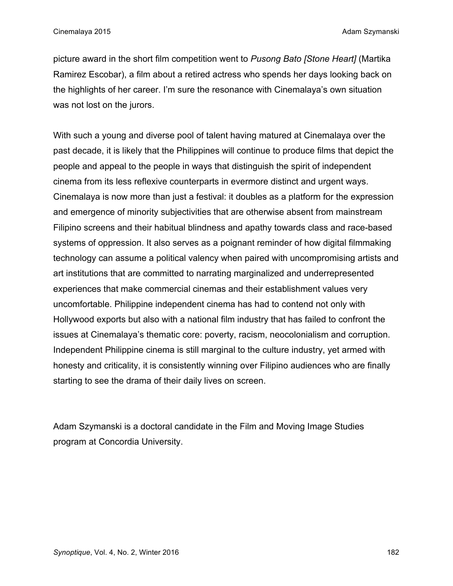picture award in the short film competition went to *Pusong Bato [Stone Heart]* (Martika Ramirez Escobar), a film about a retired actress who spends her days looking back on the highlights of her career. I'm sure the resonance with Cinemalaya's own situation was not lost on the jurors.

With such a young and diverse pool of talent having matured at Cinemalaya over the past decade, it is likely that the Philippines will continue to produce films that depict the people and appeal to the people in ways that distinguish the spirit of independent cinema from its less reflexive counterparts in evermore distinct and urgent ways. Cinemalaya is now more than just a festival: it doubles as a platform for the expression and emergence of minority subjectivities that are otherwise absent from mainstream Filipino screens and their habitual blindness and apathy towards class and race-based systems of oppression. It also serves as a poignant reminder of how digital filmmaking technology can assume a political valency when paired with uncompromising artists and art institutions that are committed to narrating marginalized and underrepresented experiences that make commercial cinemas and their establishment values very uncomfortable. Philippine independent cinema has had to contend not only with Hollywood exports but also with a national film industry that has failed to confront the issues at Cinemalaya's thematic core: poverty, racism, neocolonialism and corruption. Independent Philippine cinema is still marginal to the culture industry, yet armed with honesty and criticality, it is consistently winning over Filipino audiences who are finally starting to see the drama of their daily lives on screen.

Adam Szymanski is a doctoral candidate in the Film and Moving Image Studies program at Concordia University.